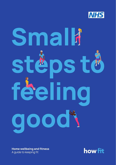

# Smalli stèps tö féeling good

Home wellbeing and fitness A guide to keeping fit

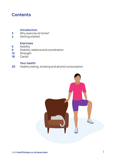# **Contents**

### Introduction

- Why exercise at home? 3
- Getting started 4

### **Exercises**

- Mobility 6
- Stability, balance and coordination 9
- **Strength** 12
- **Cardio** 18

### Your health

Healthy eating, smoking and alcohol consumption 20

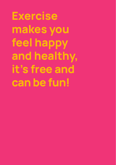Exercise makes you feel happy and healthy, it's free and can be fun!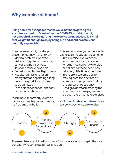# Why exercise at home?

Being home for a long time means we've not been getting the exercise we used to. Even before the COVID-19 virus hit the UK, not enough of us were getting the exercise we needed, so it is vital that we get fit enough to enjoy being out and about as safely and healthily as possible.

Exercise (even a bit) can help prevent or cut down the risk of:

- Medical problems like type 2 diabetes, high blood pressure, cancer and heart attacks
- Joint and muscle problems
- Suffering mental health problems
- Hospital admissions for an emergency and spending a long time in hospital if you do need to be admitted
- Loss of independence, difficulty mobilising and obesity

Much more importantly, exercise makes you feel happy and healthy, it's free and can be fun!

This leaflet shows you some simple exercises anybody can do at home:

- The exercise levels chosen would suit adults of any age, whether you currently exercise or not and all these exercises take very little time to perform
- There are also some tips for moving onto the next set of exercises when you are finding the starter ones too easy
- Don't give up after mastering the exercises here – keep going and try and move on to more exercises

Visit howfittoday.co.uk/exercises to see videos for each exercise.



The exercises are divided into these four main areas but to gain the most benefit, try to complete all four if you can.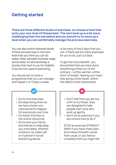# Getting started

There are three different levels of exercises, so choose a level that suits your own level of fitness best. The next level up is a bit more challenging than the one before and you should try to move up a level when you can comfortably manage the previous exercises.

You can also switch between levels if there are exercises in the next level that you think you can do safely. Wear sensible footwear, keep some water to hand and keep a sturdy chair next to you for stability if you are not used to exercising.

You should aim to have a programme that you can manage and repeat 4 or 5 days a week,

or as many of the 5 days that you can. If there are too many exercises for you to do, just cut back.

To get the most benefit, you should feel that you have done something a little out of the ordinary – a little warmer, a little short of breath, feeling your heart rate going a little faster, within the safety limits listed below.

• Do try the exercises • Do keep doing them as we have shown you; improvements happen for everybody over time • Do follow the links to the online resources • Do involve your family and friends to help keep you motivated, whether outdoors, by video call or in person if social distancing allows • Don't feel that you are too unfit to try these; they are designed to help people start slow and work up gently • Don't do an exercise if you are unsure how to do it STOP an exercise STRAIGHT AWAY if you have chest pain, shortness of breath worse than usual, or you feel so unsteady that you might fall.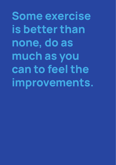Some exercise is better than none, do as much as you can to feel the improvements.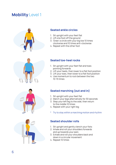# **Mobility Level 1**



### Seated ankle circles

- 1. Sit upright with your feet flat
- 2. Lift one foot off the ground
- 3. 'Draw' a circle with your big toe 10 times clockwise and 10 times anti-clockwise
- 4. Repeat with the other foot



- 1. Sit upright with your feet flat and toes pointing forwards
- 2. Lift your heels, then lower to a flat foot position
- 3. Lift your toes, then lower to a flat foot position
- 4. Use momentum to rock between the two 10-15 times



### Seated marching (out and in)

- 1. Sit upright with your feet flat
- 2. March your legs alternatively for 30 seconds
- 3. Step your left leg to the side, then return to the middle 10 times
- 4. Repeat with your right leg
- \* Try to stay within a marching motion and rhythm

### Seated shoulder rolls

- 1. Sit upright and gently clench your fists
- 2. Inhale and roll your shoulders forwards and up towards your ears
- 3. Exhale and roll your shoulders back and down in a circular movement
- 4. Repeat 10 times

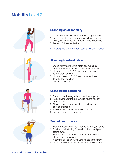# **Mobility Level 2**



### Standing ankle mobility

- 1. Stand as shown with one foot touching the wall
- 2. Bend both of your knees and try to touch the wall with your front knee without your heels lifting up
- 3. Repeat 10 times each side
- To progress: step your foot back a few centimetres



### Standing toe-heel raises

- 1. Stand with your feet hip width apart, using a sturdy chair, kitchen bench or wall for support
- 2. Lift your toes up for 2-3 seconds, then lower to a flat foot position
- 3. Lift your heels up for 2-3 seconds then lower to a flat foot position
- 4. Repeat 10-15 times

### Standing hip rotations

- 1. Stand upright using a chair or wall for support
- 2. Raise one foot off the ground to where you can stay balanced
- 3. Slowly move the knee out to the side as far as is comfortable
- 4. Hold for a second and return to the start
- 5. Repeat 5 times on each side

### Seated reach backs

- 1. Sit upright and reach your hands behind your body
- 2. Top hand palm facing forward, bottom hand palm facing away
- 3. Keeping your elbows out, bring your hands as close together as you can
- 4. Alternatively, do this with your hands to the front
- 5. Switch the hand positions over and repeat 5 times

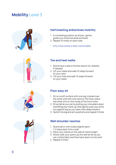# **Mobility Level 3**



### Half kneeling ankle/knee mobility

- 1. In a kneeling position as shown, gently guide your knee forwards and back
- 2. Repeat 10 times on each side
- \* Only move where it feels comfortable



### Toe and heel walks

- 1. Stand near a wall or kitchen bench for stability if needed
- 2. Lift your heels and walk 10 steps forward on your toes
- 3. Lift your toes and walk 10 steps forward on your heels

## Floor easy sit

- 1. Sit on a soft surface with one leg crossed over the other and with one hand on the floor, place the other arm on the inside of the front knee
- 2. Sit as tall as you can by pulling your shoulders down and lifting your chest up, then gently push your arms out against leg as you take a few deep breaths
- 3. Switch the leg and arm positions and repeat 5 times

### Wall shoulder reaches

- 1. Stand tall or with knees slightly bent, 1-2 steps back from a wall
- 2. Place your hands on the wall at chest height
- 3. Slowly walk your palms up the wall as far as you can comfortably and then back down to the start
- 4. Repeat 5 times

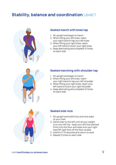# **Stability, balance and coordination Level 1**



### Seated march with knee tap

- 1. Sit upright and begin to march
- 2. When lifting your left knee, reach your right hand to tap your left knee
- 3. When lifting your right knee, reach your left hand to touch your right knee
- 4. Keep alternating and complete 10 times on each side



### Seated marching with shoulder tap

- 1. Sit upright and begin to march
- 2. When lifting your left knee, reach your right hand to tap your left shoulder
- 3. When lifting your right knee, reach your left hand to touch your right shoulder
- 4. Keep alternating and complete 10 times on each side



### Seated side rock

- 1. Sit upright and hold firmly onto the sides of your chair
- 2. Gently lean to the left until all your weight is on your left hip - keep your left foot planted firmly into the floor and raise onto your right toes/lift right foot off the floor as able
- 3. Hold for 5-10 seconds and return to start
- 4. Repeat 5 times on each side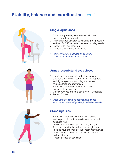# **Stability, balance and coordination Level 2**



### Single leg balance

- 1. Stand upright using a sturdy chair, kitchen bench or wall for support
- 2. Raise one knee upwards to waist height if possible and hold for 5-10 seconds, then lower your leg slowly
- 3. Repeat with your other leg
- 4. Complete 5-10 times on each leg
- Tighten your stomach, leg and bottom muscles when standing on one leg



### Arms crossed stand eyes closed

- 1. Stand with your feet hip width apart, using a sturdy chair, kitchen bench or wall for support and tighten your stomach, leg and bottom muscles throughout exercise
- 2. Stand with your arms crossed and hands on opposite shoulders
- 3. Close your eyes and hold position for 10 seconds
- 4. Repeat 5 times
- \* Open your eyes immediately and hold onto support for balance if you begin to feel unsteady

### Standing turns

- 1. Stand with your feet slightly wider than hip width apart, with both shoulders and your back against a wall
- 2. Turn to your left whilst pivoting on your right foot and reach for the wall with your right hand, keeping your left shoulder in contact with the wall
- 3. Slowly return to the start position and repeat on the other side
- 4. Repeat 5 times on each side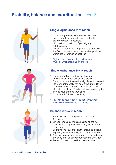# Stability, balance and coordination Level 3





- 1. Stand upright using a sturdy chair, kitchen bench or wall for support - aim to not hold onto the support if possible
- 2. Lift one foot up in front of you, slightly off the ground
- 3. Reach the foot of lifted leg forward, just above the floor, pause and return to the start position
- 4. Complete 5-10 times on each leg
- Tighten your stomach, leg and bottom muscles when standing on one leg

### Single leg balance 3-way reach

- 1. Stand upright and to the side of a sturdy chair, kitchen bench or wall for support
- 2. Stand on your left leg with a slightly bent knee and lift your right foot slightly above the ground then: reach your foot forward, then back; out to the side, then back; and finally, backwards and slightly behind your left foot, then back
- 3. Complete 3-5 times on each leg
- \* Try to keep your foot off the floor throughout exercise when standing on one leg

### Balance with arm reach

- 1. Stand with one arm against or near a wall for safety
- 2. Lift your knee up on the same side as the wall
- 3. Now place the opposite hand on your hip of the raised leg
- 4. Slightly bend your knee on the standing leg and tighten your stomach, leg and bottom muscles
- 5. Now sweep your hand from your hip, up and across the body until it's above your opposite shoulder
- 6. Repeat 5 times on one side then the other



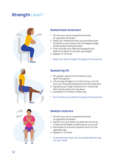

### Seated back extension

- 1. Sit with your arms crossed and hands on opposite shoulders
- 2. Keep your head and chest up and slowly lean forwards so your body is at a 45 degree angle whilst always looking forward
- 3. Push through your feet and squeeze your bottom muscles to sit back up straight
- 4. Repeat 10-15 times
- Keep your back straight throughout the exercise



### Seated leg lift

- 1. Sit upright, away from the back of your seat throughout
- 2. Lift one leg straight out in front of you, do not lock your knee and be gentle with the knee joint
- 3. Squeeze your thigh muscles for 2-3 seconds then slowly lower your leg down
- 4. Complete 5-10 times on each leg
- \* Do not hold your breath throughout the exercise



### Seated rotations

- 1. Sit with your arms crossed and hands on opposite shoulders
- 2. Gently turn your body one direction as far as it feels comfortable, breathing out as you do
- 3. Move back to the start position and turn the opposite way
- 4. Repeat 10-15 times
- To prevent dizziness, let your body lead the way, not your head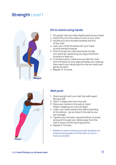

### Sit to stand using hands

- 1. Sit upright with your feet slightly behind your knees
- 2. Hold firmly onto the sides or arms of your chair
- 3. Shuffle your bum forward towards the end of the chair
- 4. Lean your chest forwards with your head up and looking forwards
- 5. Push through your feet and hands to help you stand up, squeezing your leg and bottom muscles to help you
- 6. To sit back down, make sure you feel the chair with the backs of your legs and keep your head up, then reach your hands back for the arm rests and gently sit down
- 7. Repeat 10-15 times



### Wall push

- 1. Stand upright with your feet hip width apart, facing a wall
- 2. Take 1-2 steps back from the wall
- 3. Place your hands on the wall at chest height, keeping your arms straight
- 4. Lower your body towards the wall by bending at the elbows - go as close to the wall as you can manage
- 5. Tighten your stomach, leg and bottom muscles and push through your hands away from the wall to return to the starting position
- 6. Repeat 5-10 times
- \* Breathe in when lowering yourself, breathe out when pushing away from the wall; try not to hold your breath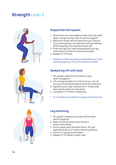

### Supported half squats

- 1. Stand with your feet slightly wider than hip width apart, using a sturdy chair or wall for support
- 2. Bend your knees and sit back from your hips as if you were going to sit down but only go halfway whilst keeping your head and chest up
- 3. Push through your feet and squeeze your leg and bottom muscles to stand up straight
- 4. Repeat 10-15 times
- \* Breathe in when squatting and breathe out when standing back up; try not to hold your breath

### Seated leg lift with hold

- 1. Sit upright, away from the back of your seat throughout
- 2. Lift one leg straight out in front of you, do not lock your knee and be gentle with the knee joint
- 3. Squeeze your thigh muscles for 5-10 seconds then slowly lower your leg down
- 4. Complete 5-10 times on each leg
- \* Do not hold your breath throughout the exercise



### Leg marching

- 1. Sit upright, keeping your back off the back rest throughout
- 2. Raise one knee slowly up as far as it feels comfortable
- 3. As you place your foot back down, lift your opposite knee up in a slow marching fashion
- 4. Count to 3 going up and down
- 5. Repeat 10-15 times on each side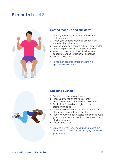

### Seated reach up and pull down

- 1. Sit upright keeping your back off the back rest throughout
- 2. Reach your arms up overhead, slightly wider than shoulder width apart
- 3. Imagine grabbing a bar and pulling it down whilst squeezing your arm and shoulder muscles
- 4. When you have pulled down, hold here and squeeze your back muscles for 3 seconds
- 5. Repeat 10-15 times
- \* To make this exercise more challenging, apply some resistance



### Kneeling push up

- 1. Get onto your hands and knees
- 2. Place your hands on the floor, slightly ahead of your shoulders and cross your feet
- 3. Gently lean forwards and tighten your stomach muscles
- 4. Lower yourself towards the floor by bending your elbows, getting as close to the floor as you can
- 5. Tighten your stomach muscles and push through your hands away from the floor to return to the starting position
- 6. Repeat 5-10 times
- Breathe in when lowering yourself, breathe out when pushing away from the floor; try not to hold your breath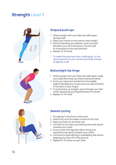

### Scapula push ups

- 1. Stand upright with your feet hip width apart, facing a wall
- 2. Place your hands on the wall at chest height
- 3. Without bending your elbows, lower yourself between your arms then push into the wall to come back to the start position
- 4. Repeat 10-15 times
- To make this exercise more challenging, try the same exercise on your hands and knees instead of against a wall

### Bodyweight hip hinge

- 1. Stand upright with your feet hip width apart, keep your head and chest up whilst looking forwards
- 2. Push your hips back and bend in the middle, slightly bending your knees until you feel a stretch in the back of your thighs
- 3. To stand back up straight, push through your feet whilst squeezing your leg and bottom muscles
- 4. Repeat 10-15 times



### Seated cycling

- 1. Sit halfway to the front of the chair
- 2. Hold firmly onto the sides or arms of the chair
- 3. Rest your back on the back rest
- 4. Lift both of your feet up and bring one knee slowly towards your chest
- 5. As you lower this leg back down, bring your opposite knee slowly towards your chest
- 6. Continue to alternate leg in a pedalling-like action, keeping your feet off of the ground
- 7. Repeat 10-15 times on each side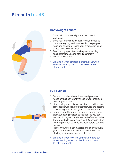

### Bodyweight squats

- 1. Stand with your feet slightly wider than hip width apart
- 2. Bend your knees and sit back from your hips as if you were going to sit down whilst keeping your head and chest up - reach your arms out in front of you to help you balance
- 3. Push through your feet and squeeze your leg and bottom muscles to stand up straight
- 4. Repeat 10-15 times
- \* Breathe in when squatting, breathe out when standing back up; try not to hold your breath at any point

### Full push up

- 1. Get onto your hands and knees and place your hands on the floor, slightly ahead of your shoulders with fingers spread
- 2. Kick your legs out to be on your hands and toes in a plank position, keeping your stomach, leg and bottom muscles tight to protect your back throughout
- 3. Lower yourself towards the floor by bending your elbows, getting as close to the floor as you can without dipping your head towards the floor - to make this more challenging, pause for 1-3 seconds when lowering yourself towards the floor before pushing back up
- 4. Tighten your stomach muscles and push through your hands away from the floor to return to the starting position and repeat 5-10 times
- \* Breathe in when lowering yourself, breathe out when pushing away from the floor and try not to hold your breath

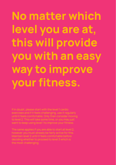No matter which level you are at, this will provide you with an easy way to improve your fitness.

The same applies if you are able to start at level 2,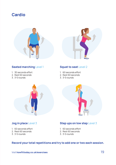





### Seated marching Level 1

- 1. 30 seconds effort
- 2. Rest 60 seconds
- 3. 3-5 rounds

### Squat to seat Level 2

- 1. 60 seconds effort
- 2. Rest 60 seconds
- 3. 3-5 rounds



- 1. 60 seconds effort
- 2. Rest 60 seconds
- 3. 3-5 rounds



### Jog in place Level 3 Step ups on low step Level 3

- 1. 60 seconds effort
- 2. Rest 60 seconds
- 3. 3-5 rounds

### Record your total repetitions and try to add one or two each session.

Visit howfittoday.co.uk/exercises 19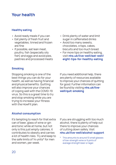# Your health

### Healthy eating

- Avoid ready meals if you can
- Eat plenty of fresh fruit and vegetables; tinned and frozen are fine
- If possible, eat lean meat, poultry, fish (especially oily fish) and eggs and avoid pies, pastries and processed meats
- Drink plenty of water and limit sugar in caffeinated drinks
- Avoid too many sweets, chocolates, crisps, cakes, biscuits and too much bread.
- For more tips on healthy eating, visit nhs.uk/live-well/eat-well/ eight-tips-for-healthy-eating

### **Smoking**

Stopping smoking is one of the best things you can do for your health, as well as having financial and physical benefits. Quitting will also improve your chances of coping well with the COVID-19 virus. So this is a great time to try and stop smoking while you are trying to increase your fitness with the HowFit plan.

If you need additional help, there are plenty of resources available to improve your chances of quitting for good. Further information can be found by visiting nhs.uk/livewell/quit-smoking

### Alcohol consumption

It's tempting to reach for that extra can of beer, glass of wine or gin and tonic while at home, but not only is this just empty calories, it contributes to obesity and carries a lot of health risks. Try and keep to the safe limits of 14 units\* for men and women, per week.

If you are struggling with too much alcohol, there is plenty of help out there to improve your chances of cutting down safely. Visit nhs.uk/live-well/alcohol-support

\* This amounts to around 10 small glasses of low-strength wine or 6 pints of average strength beer or lager.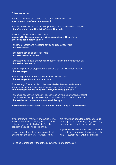### Other resources

For tips on ways to get active in the home and outside, visit sportengland.org/jointhemovement

For falls prevention advice including strength and balance exercises, visit nhsinform.scot/healthy-living/preventing-falls

For exercises for healthy joints, visit versusarthritis.org/about-arthritis/exercising-with-arthritis/ exercises-for-healthy-joints

For general health and wellbeing advice and resources, visit nhs.uk/live-well

For specific advice on exercise, visit nhs.uk/live-well/exercise

For better health, little changes can support health improvements, visit nhs.uk/better-health

For making better small, practical changes that fit in with your life, visit nhs.uk/oneyou

For looking after your mental health and wellbeing, visit nhs.uk/oneyou/every-mind-matters

For creating a free mind plan to help you deal with stress and anxiety, improve your sleep, boost your mood and feel more in control, visit nhs.uk/oneyou/every-mind-matters/your-mind-plan-quiz

For secure access to a range of NHS services on your smartphone or tablet, download the NHS App. The NHS App is available now on iOS and Android nhs.uk/nhs-services/online-services/nhs-app

### Further details available on our website howfittoday.co.uk/exercises

If you are unwell, mentally, or physically, in a way that would have made you call a doctor or try and get medical advice before the pandemic, you still need to do this.

For non-urgent problems talk to your local pharmacist or call your GP surgery – they

are very much open for business as usual, although some of the ways they work may have changed due to the pandemic.

 If you have a medical emergency, call 999. If the problem is less urgent, go online to the NHS 111 system at 111.nhs.uk or call 111.

Not to be reproduced without the copyright owners' permission.